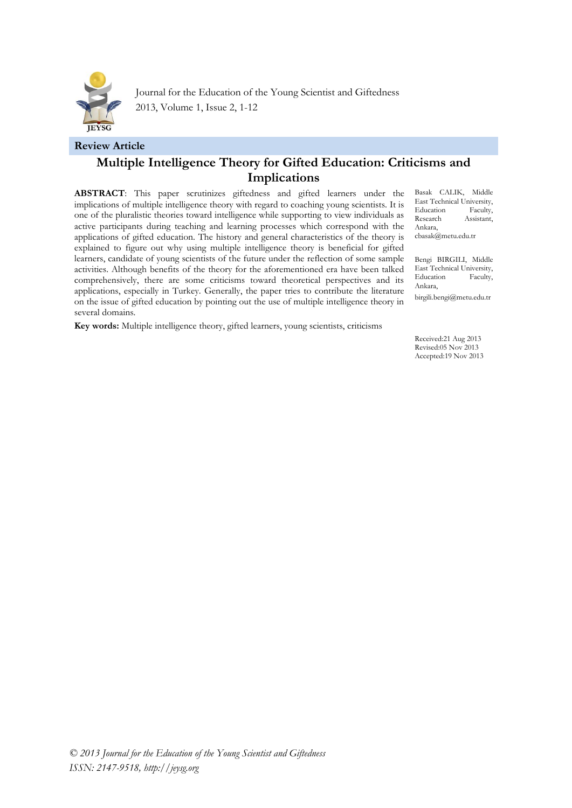

Journal for the Education of the Young Scientist and Giftedness 2013, Volume 1, Issue 2, 1-12

#### **Review Article**

# **Multiple Intelligence Theory for Gifted Education: Criticisms and Implications**

**ABSTRACT**: This paper scrutinizes giftedness and gifted learners under the implications of multiple intelligence theory with regard to coaching young scientists. It is one of the pluralistic theories toward intelligence while supporting to view individuals as active participants during teaching and learning processes which correspond with the applications of gifted education. The history and general characteristics of the theory is explained to figure out why using multiple intelligence theory is beneficial for gifted learners, candidate of young scientists of the future under the reflection of some sample activities. Although benefits of the theory for the aforementioned era have been talked comprehensively, there are some criticisms toward theoretical perspectives and its applications, especially in Turkey. Generally, the paper tries to contribute the literature on the issue of gifted education by pointing out the use of multiple intelligence theory in several domains.

Basak CALIK, Middle East Technical University, Education Faculty, Research Assistant, Ankara,

[cbasak@metu.edu.tr](mailto:cbasak@metu.edu.tr)

Bengi BIRGILI, Middle East Technical University,<br>Education Faculty, Education Ankara,

[birgili.bengi@metu.edu.tr](mailto:birgili.bengi@metu.edu.tr)

**Key words:** Multiple intelligence theory, gifted learners, young scientists, criticisms

Received:21 Aug 2013 Revised:05 Nov 2013 Accepted:19 Nov 2013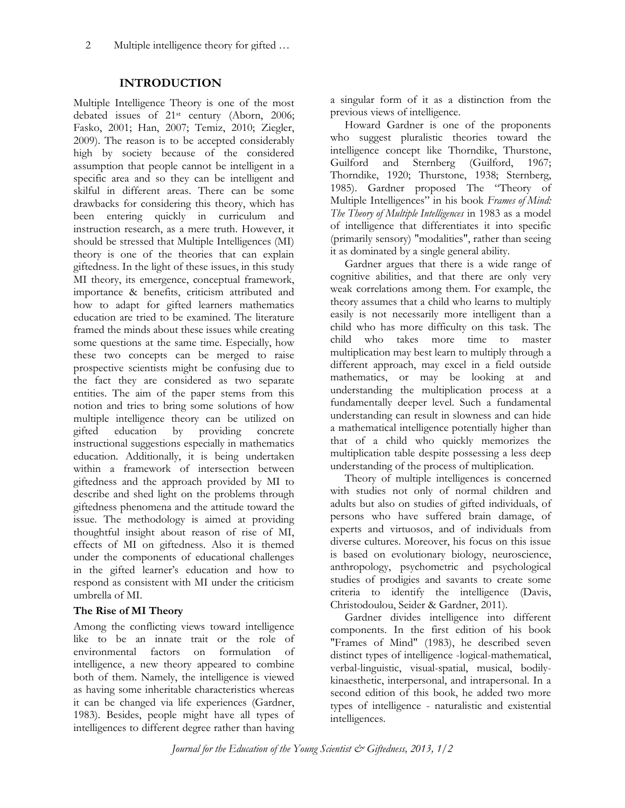## **INTRODUCTION**

Multiple Intelligence Theory is one of the most debated issues of 21st century (Aborn, 2006; Fasko, 2001; Han, 2007; Temiz, 2010; Ziegler, 2009). The reason is to be accepted considerably high by society because of the considered assumption that people cannot be intelligent in a specific area and so they can be intelligent and skilful in different areas. There can be some drawbacks for considering this theory, which has been entering quickly in curriculum and instruction research, as a mere truth. However, it should be stressed that Multiple Intelligences (MI) theory is one of the theories that can explain giftedness. In the light of these issues, in this study MI theory, its emergence, conceptual framework, importance & benefits, criticism attributed and how to adapt for gifted learners mathematics education are tried to be examined. The literature framed the minds about these issues while creating some questions at the same time. Especially, how these two concepts can be merged to raise prospective scientists might be confusing due to the fact they are considered as two separate entities. The aim of the paper stems from this notion and tries to bring some solutions of how multiple intelligence theory can be utilized on gifted education by providing concrete instructional suggestions especially in mathematics education. Additionally, it is being undertaken within a framework of intersection between giftedness and the approach provided by MI to describe and shed light on the problems through giftedness phenomena and the attitude toward the issue. The methodology is aimed at providing thoughtful insight about reason of rise of MI, effects of MI on giftedness. Also it is themed under the components of educational challenges in the gifted learner's education and how to respond as consistent with MI under the criticism umbrella of MI.

## **The Rise of MI Theory**

Among the conflicting views toward intelligence like to be an innate trait or the role of environmental factors on formulation of intelligence, a new theory appeared to combine both of them. Namely, the intelligence is viewed as having some inheritable characteristics whereas it can be changed via life experiences (Gardner, 1983). Besides, people might have all types of intelligences to different degree rather than having

a singular form of it as a distinction from the previous views of intelligence.

Howard Gardner is one of the proponents who suggest pluralistic theories toward the intelligence concept like Thorndike, Thurstone, Guilford and Sternberg (Guilford, 1967; Thorndike, 1920; Thurstone, 1938; Sternberg, 1985). Gardner proposed The "Theory of Multiple Intelligences" in his book *Frames of Mind: The Theory of Multiple Intelligences* in 1983 as a model of [intelligence](http://en.wikipedia.org/wiki/Intelligence) that differentiates it into specific (primarily sensory) "modalities", rather than seeing it as dominated by a single general ability.

Gardner argues that there is a wide range of [cognitive abilities,](http://en.wikipedia.org/wiki/Cognition) and that there are only very weak correlations among them. For example, the theory assumes that a child who learns to multiply easily is not necessarily more intelligent than a child who has more difficulty on this task. The child who takes more time to master multiplication may best learn to multiply through a different approach, may excel in a field outside mathematics, or may be looking at and understanding the multiplication process at a fundamentally deeper level. Such a fundamental understanding can result in slowness and can hide a mathematical intelligence potentially higher than that of a child who quickly memorizes the multiplication table despite possessing a less deep understanding of the process of multiplication.

[Theory of multiple intelligences](http://en.wikipedia.org/wiki/Theory_of_multiple_intelligences) is concerned with studies not only of normal children and adults but also on studies of gifted individuals, of persons who have suffered brain damage, of experts and [virtuosos,](http://en.wikipedia.org/wiki/Virtuoso) and of individuals from diverse cultures. Moreover, his focus on this issue is based on evolutionary biology, neuroscience, anthropology, psychometric and psychological studies of prodigies and savants to create some criteria to identify the intelligence (Davis, Christodoulou, Seider & Gardner, 2011).

Gardner divides intelligence into different components. In the first edition of his book "Frames of Mind" (1983), he described seven distinct types of intelligence [-logical-mathematical,](http://en.wikipedia.org/w/index.php?title=Logical-mathematical&action=edit&redlink=1) verbal[-linguistic,](http://en.wikipedia.org/wiki/Natural_language) visual[-spatial,](http://en.wikipedia.org/wiki/Spatial_intelligence_(psychology)) [musical,](http://en.wikipedia.org/wiki/Music) bodilykinaesthetic, [interpersonal,](http://en.wikipedia.org/wiki/Interpersonal) and [intrapersonal.](http://en.wikipedia.org/wiki/Intrapersonal) In a second edition of this book, he added two more types of intelligence - [naturalisti](http://en.wikipedia.org/wiki/Naturalist)c and [existential](http://en.wikipedia.org/wiki/Existential) intelligences.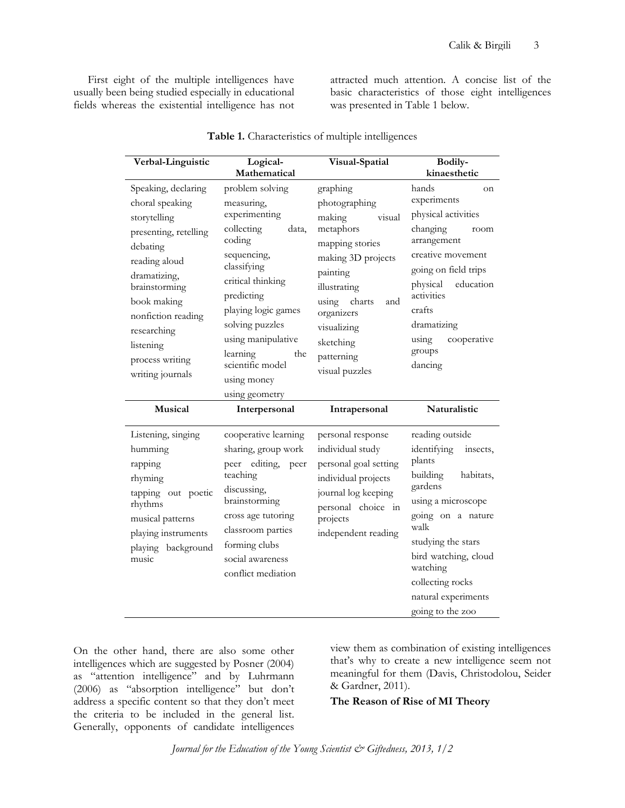First eight of the multiple intelligences have usually been being studied especially in educational fields whereas the existential intelligence has not

attracted much attention. A concise list of the basic characteristics of those eight intelligences was presented in Table 1 below.

| Verbal-Linguistic                                                                                                               | Logical-<br>Mathematical                                                                                                                                                | Visual-Spatial                                                                                                                                 | <b>Bodily-</b><br>kinaesthetic                                                                                                              |
|---------------------------------------------------------------------------------------------------------------------------------|-------------------------------------------------------------------------------------------------------------------------------------------------------------------------|------------------------------------------------------------------------------------------------------------------------------------------------|---------------------------------------------------------------------------------------------------------------------------------------------|
| Speaking, declaring<br>choral speaking<br>storytelling<br>presenting, retelling<br>debating<br>reading aloud<br>dramatizing,    | problem solving<br>measuring,<br>experimenting<br>collecting<br>data,<br>coding<br>sequencing,<br>classifying                                                           | graphing<br>photographing<br>making<br>visual<br>metaphors<br>mapping stories<br>making 3D projects<br>painting                                | hands<br>on<br>experiments<br>physical activities<br>changing<br>room<br>arrangement<br>creative movement<br>going on field trips           |
| brainstorming<br>book making<br>nonfiction reading<br>researching<br>listening<br>process writing<br>writing journals           | critical thinking<br>predicting<br>playing logic games<br>solving puzzles<br>using manipulative<br>learning<br>the<br>scientific model<br>using money<br>using geometry | illustrating<br>using<br>charts<br>and<br>organizers<br>visualizing<br>sketching<br>patterning<br>visual puzzles                               | physical<br>education<br>activities<br>crafts<br>dramatizing<br>using<br>cooperative<br>groups<br>dancing                                   |
| <b>Musical</b>                                                                                                                  | Interpersonal                                                                                                                                                           | Intrapersonal                                                                                                                                  | <b>Naturalistic</b>                                                                                                                         |
| Listening, singing<br>humming<br>rapping<br>rhyming<br>tapping out poetic<br>rhythms<br>musical patterns<br>playing instruments | cooperative learning<br>sharing, group work<br>peer editing,<br>peer<br>teaching<br>discussing,<br>brainstorming<br>cross age tutoring                                  | personal response<br>individual study<br>personal goal setting<br>individual projects<br>journal log keeping<br>personal choice in<br>projects | reading outside<br>identifying<br>insects,<br>plants<br>building<br>habitats,<br>gardens<br>using a microscope<br>going on a nature<br>walk |
| playing background<br>music                                                                                                     | classroom parties<br>forming clubs<br>social awareness<br>conflict mediation                                                                                            | independent reading                                                                                                                            | studying the stars<br>bird watching, cloud<br>watching<br>collecting rocks<br>natural experiments                                           |

**Table 1.** Characteristics of multiple intelligences

On the other hand, there are also some other intelligences which are suggested by Posner (2004) as "attention intelligence" and by Luhrmann (2006) as "absorption intelligence" but don't address a specific content so that they don't meet the criteria to be included in the general list. Generally, opponents of candidate intelligences

view them as combination of existing intelligences that's why to create a new intelligence seem not meaningful for them (Davis, Christodolou, Seider & Gardner, 2011).

**The Reason of Rise of MI Theory**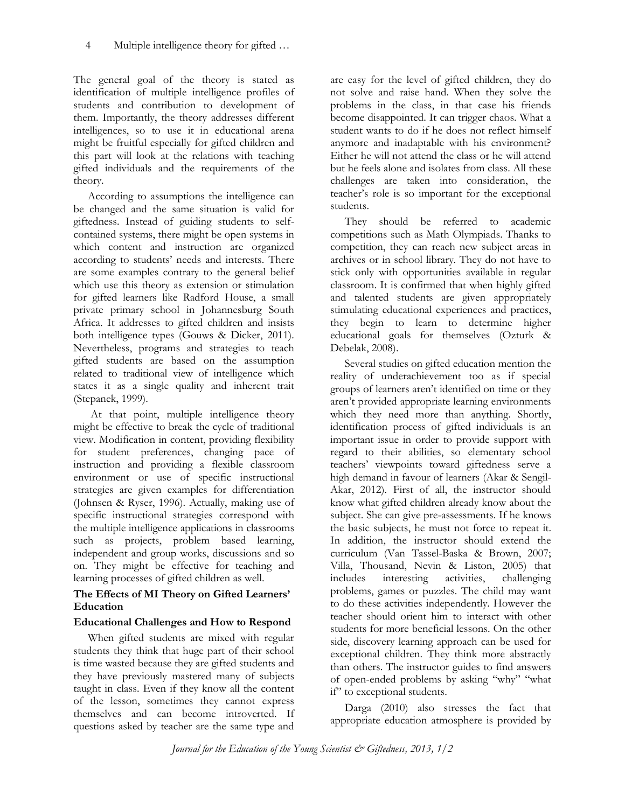The general goal of the theory is stated as identification of multiple intelligence profiles of students and contribution to development of them. Importantly, the theory addresses different intelligences, so to use it in educational arena might be fruitful especially for gifted children and this part will look at the relations with teaching gifted individuals and the requirements of the theory.

According to assumptions the intelligence can be changed and the same situation is valid for giftedness. Instead of guiding students to selfcontained systems, there might be open systems in which content and instruction are organized according to students' needs and interests. There are some examples contrary to the general belief which use this theory as extension or stimulation for gifted learners like Radford House, a small private primary school in Johannesburg South Africa. It addresses to gifted children and insists both intelligence types (Gouws & Dicker, 2011). Nevertheless, programs and strategies to teach gifted students are based on the assumption related to traditional view of intelligence which states it as a single quality and inherent trait (Stepanek, 1999).

At that point, multiple intelligence theory might be effective to break the cycle of traditional view. Modification in content, providing flexibility for student preferences, changing pace of instruction and providing a flexible classroom environment or use of specific instructional strategies are given examples for differentiation (Johnsen & Ryser, 1996). Actually, making use of specific instructional strategies correspond with the multiple intelligence applications in classrooms such as projects, problem based learning, independent and group works, discussions and so on. They might be effective for teaching and learning processes of gifted children as well.

### **The Effects of MI Theory on Gifted Learners' Education**

#### **Educational Challenges and How to Respond**

When gifted students are mixed with regular students they think that huge part of their school is time wasted because they are gifted students and they have previously mastered many of subjects taught in class. Even if they know all the content of the lesson, sometimes they cannot express themselves and can become introverted. If questions asked by teacher are the same type and

are easy for the level of gifted children, they do not solve and raise hand. When they solve the problems in the class, in that case his friends become disappointed. It can trigger chaos. What a student wants to do if he does not reflect himself anymore and inadaptable with his environment? Either he will not attend the class or he will attend but he feels alone and isolates from class. All these challenges are taken into consideration, the teacher's role is so important for the exceptional students.

They should be referred to academic competitions such as Math Olympiads. Thanks to competition, they can reach new subject areas in archives or in school library. They do not have to stick only with opportunities available in regular classroom. It is confirmed that when highly gifted and talented students are given appropriately stimulating educational experiences and practices, they begin to learn to determine higher educational goals for themselves (Ozturk & Debelak, 2008).

Several studies on gifted education mention the reality of underachievement too as if special groups of learners aren't identified on time or they aren't provided appropriate learning environments which they need more than anything. Shortly, identification process of gifted individuals is an important issue in order to provide support with regard to their abilities, so elementary school teachers' viewpoints toward giftedness serve a high demand in favour of learners (Akar & Sengil-Akar, 2012). First of all, the instructor should know what gifted children already know about the subject. She can give pre-assessments. If he knows the basic subjects, he must not force to repeat it. In addition, the instructor should extend the curriculum (Van Tassel-Baska & Brown, 2007; Villa, Thousand, Nevin & Liston, 2005) that includes interesting activities, challenging problems, games or puzzles. The child may want to do these activities independently. However the teacher should orient him to interact with other students for more beneficial lessons. On the other side, discovery learning approach can be used for exceptional children. They think more abstractly than others. The instructor guides to find answers of open-ended problems by asking "why" "what if" to exceptional students.

Darga (2010) also stresses the fact that appropriate education atmosphere is provided by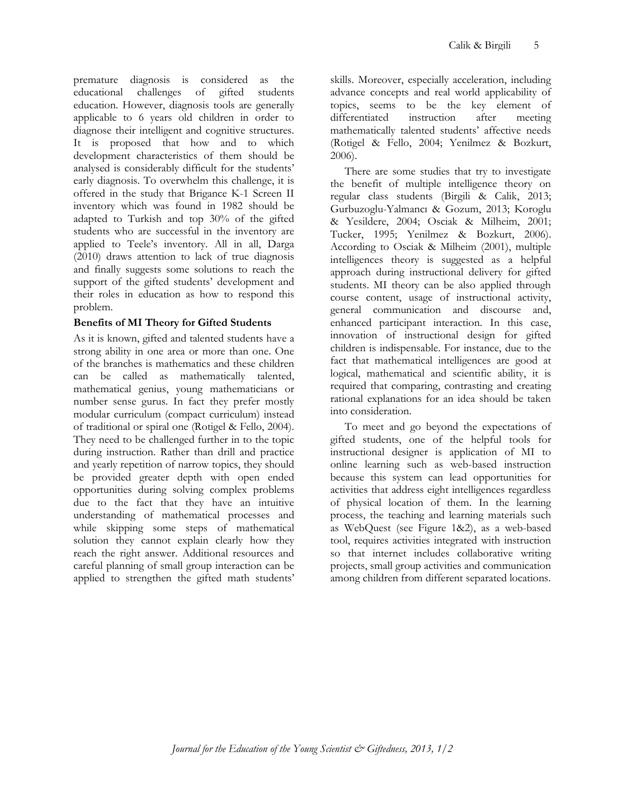premature diagnosis is considered as the educational challenges of gifted students education. However, diagnosis tools are generally applicable to 6 years old children in order to diagnose their intelligent and cognitive structures. It is proposed that how and to which development characteristics of them should be analysed is considerably difficult for the students' early diagnosis. To overwhelm this challenge, it is offered in the study that Brigance K-1 Screen II inventory which was found in 1982 should be adapted to Turkish and top 30% of the gifted students who are successful in the inventory are applied to Teele's inventory. All in all, Darga (2010) draws attention to lack of true diagnosis and finally suggests some solutions to reach the support of the gifted students' development and their roles in education as how to respond this problem.

## **Benefits of MI Theory for Gifted Students**

As it is known, gifted and talented students have a strong ability in one area or more than one. One of the branches is mathematics and these children can be called as mathematically talented, mathematical genius, young mathematicians or number sense gurus. In fact they prefer mostly modular curriculum (compact curriculum) instead of traditional or spiral one (Rotigel & Fello, 2004). They need to be challenged further in to the topic during instruction. Rather than drill and practice and yearly repetition of narrow topics, they should be provided greater depth with open ended opportunities during solving complex problems due to the fact that they have an intuitive understanding of mathematical processes and while skipping some steps of mathematical solution they cannot explain clearly how they reach the right answer. Additional resources and careful planning of small group interaction can be applied to strengthen the gifted math students'

skills. Moreover, especially acceleration, including advance concepts and real world applicability of topics, seems to be the key element of differentiated instruction after meeting mathematically talented students' affective needs (Rotigel & Fello, 2004; Yenilmez & Bozkurt, 2006).

There are some studies that try to investigate the benefit of multiple intelligence theory on regular class students (Birgili & Calik, 2013; Gurbuzoglu-Yalmancı & Gozum, 2013; Koroglu & Yesildere, 2004; Osciak & Milheim, 2001; Tucker, 1995; Yenilmez & Bozkurt, 2006). According to Osciak & Milheim (2001), multiple intelligences theory is suggested as a helpful approach during instructional delivery for gifted students. MI theory can be also applied through course content, usage of instructional activity, general communication and discourse and, enhanced participant interaction. In this case, innovation of instructional design for gifted children is indispensable. For instance, due to the fact that mathematical intelligences are good at logical, mathematical and scientific ability, it is required that comparing, contrasting and creating rational explanations for an idea should be taken into consideration.

To meet and go beyond the expectations of gifted students, one of the helpful tools for instructional designer is application of MI to online learning such as web-based instruction because this system can lead opportunities for activities that address eight intelligences regardless of physical location of them. In the learning process, the teaching and learning materials such as WebQuest (see Figure 1&2), as a web-based tool, requires activities integrated with instruction so that internet includes collaborative writing projects, small group activities and communication among children from different separated locations.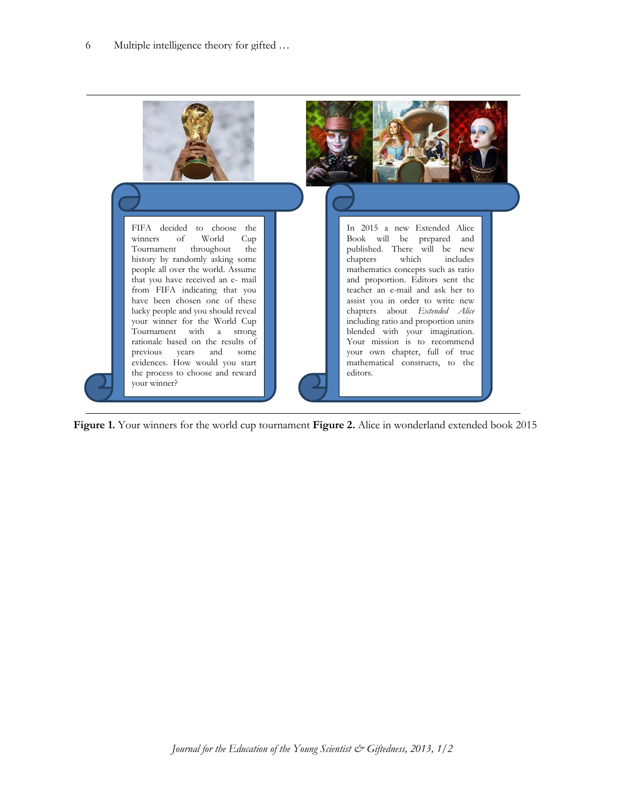

**Figure 1.** Your winners for the world cup tournament **Figure 2.** Alice in wonderland extended book 2015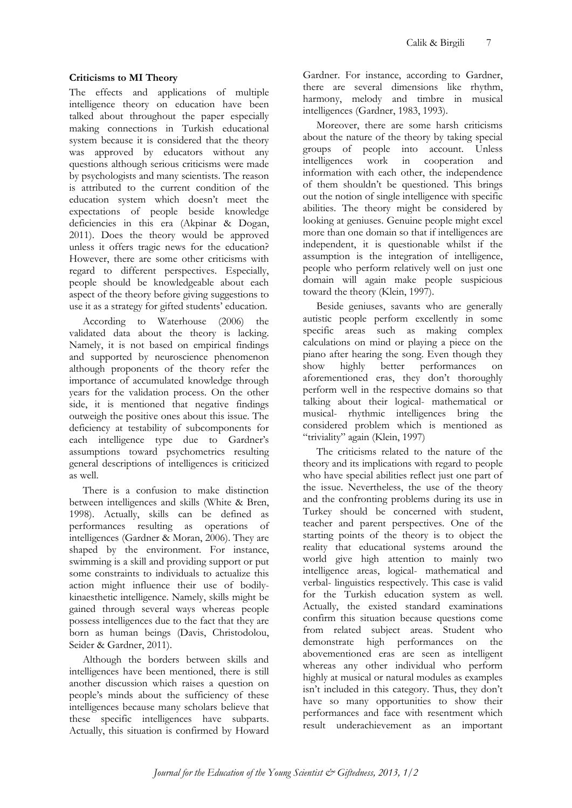## **Criticisms to MI Theory**

The effects and applications of multiple intelligence theory on education have been talked about throughout the paper especially making connections in Turkish educational system because it is considered that the theory was approved by educators without any questions although serious criticisms were made by psychologists and many scientists. The reason is attributed to the current condition of the education system which doesn't meet the expectations of people beside knowledge deficiencies in this era (Akpinar & Dogan, 2011). Does the theory would be approved unless it offers tragic news for the education? However, there are some other criticisms with regard to different perspectives. Especially, people should be knowledgeable about each aspect of the theory before giving suggestions to use it as a strategy for gifted students' education.

According to Waterhouse (2006) the validated data about the theory is lacking. Namely, it is not based on empirical findings and supported by neuroscience phenomenon although proponents of the theory refer the importance of accumulated knowledge through years for the validation process. On the other side, it is mentioned that negative findings outweigh the positive ones about this issue. The deficiency at testability of subcomponents for each intelligence type due to Gardner's assumptions toward psychometrics resulting general descriptions of intelligences is criticized as well.

There is a confusion to make distinction between intelligences and skills (White & Bren, 1998). Actually, skills can be defined as performances resulting as operations of intelligences (Gardner & Moran, 2006). They are shaped by the environment. For instance, swimming is a skill and providing support or put some constraints to individuals to actualize this action might influence their use of bodilykinaesthetic intelligence. Namely, skills might be gained through several ways whereas people possess intelligences due to the fact that they are born as human beings (Davis, Christodolou, Seider & Gardner, 2011).

Although the borders between skills and intelligences have been mentioned, there is still another discussion which raises a question on people's minds about the sufficiency of these intelligences because many scholars believe that these specific intelligences have subparts. Actually, this situation is confirmed by Howard Gardner. For instance, according to Gardner, there are several dimensions like rhythm, harmony, melody and timbre in musical intelligences (Gardner, 1983, 1993).

Moreover, there are some harsh criticisms about the nature of the theory by taking special groups of people into account. Unless intelligences work in cooperation and information with each other, the independence of them shouldn't be questioned. This brings out the notion of single intelligence with specific abilities. The theory might be considered by looking at geniuses. Genuine people might excel more than one domain so that if intelligences are independent, it is questionable whilst if the assumption is the integration of intelligence, people who perform relatively well on just one domain will again make people suspicious toward the theory (Klein, 1997).

Beside geniuses, savants who are generally autistic people perform excellently in some specific areas such as making complex calculations on mind or playing a piece on the piano after hearing the song. Even though they show highly better performances on aforementioned eras, they don't thoroughly perform well in the respective domains so that talking about their logical- mathematical or musical- rhythmic intelligences bring the considered problem which is mentioned as "triviality" again (Klein, 1997)

The criticisms related to the nature of the theory and its implications with regard to people who have special abilities reflect just one part of the issue. Nevertheless, the use of the theory and the confronting problems during its use in Turkey should be concerned with student, teacher and parent perspectives. One of the starting points of the theory is to object the reality that educational systems around the world give high attention to mainly two intelligence areas, logical- mathematical and verbal- linguistics respectively. This case is valid for the Turkish education system as well. Actually, the existed standard examinations confirm this situation because questions come from related subject areas. Student who demonstrate high performances on the abovementioned eras are seen as intelligent whereas any other individual who perform highly at musical or natural modules as examples isn't included in this category. Thus, they don't have so many opportunities to show their performances and face with resentment which result underachievement as an important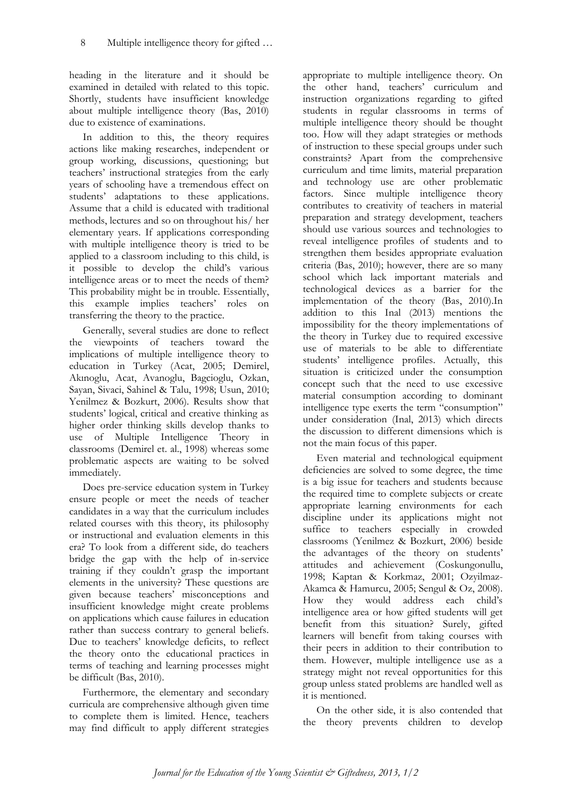heading in the literature and it should be examined in detailed with related to this topic. Shortly, students have insufficient knowledge about multiple intelligence theory (Bas, 2010) due to existence of examinations.

In addition to this, the theory requires actions like making researches, independent or group working, discussions, questioning; but teachers' instructional strategies from the early years of schooling have a tremendous effect on students' adaptations to these applications. Assume that a child is educated with traditional methods, lectures and so on throughout his/ her elementary years. If applications corresponding with multiple intelligence theory is tried to be applied to a classroom including to this child, is it possible to develop the child's various intelligence areas or to meet the needs of them? This probability might be in trouble. Essentially, this example implies teachers' roles on transferring the theory to the practice.

Generally, several studies are done to reflect the viewpoints of teachers toward the implications of multiple intelligence theory to education in Turkey (Acat, 2005; Demirel, Akınoglu, Acat, Avanoglu, Bagcioglu, Ozkan, Sayan, Sivaci, Sahinel & Talu, 1998; Usun, 2010; Yenilmez & Bozkurt, 2006). Results show that students' logical, critical and creative thinking as higher order thinking skills develop thanks to use of Multiple Intelligence Theory in classrooms (Demirel et. al., 1998) whereas some problematic aspects are waiting to be solved immediately.

Does pre-service education system in Turkey ensure people or meet the needs of teacher candidates in a way that the curriculum includes related courses with this theory, its philosophy or instructional and evaluation elements in this era? To look from a different side, do teachers bridge the gap with the help of in-service training if they couldn't grasp the important elements in the university? These questions are given because teachers' misconceptions and insufficient knowledge might create problems on applications which cause failures in education rather than success contrary to general beliefs. Due to teachers' knowledge deficits, to reflect the theory onto the educational practices in terms of teaching and learning processes might be difficult (Bas, 2010).

Furthermore, the elementary and secondary curricula are comprehensive although given time to complete them is limited. Hence, teachers may find difficult to apply different strategies

appropriate to multiple intelligence theory. On the other hand, teachers' curriculum and instruction organizations regarding to gifted students in regular classrooms in terms of multiple intelligence theory should be thought too. How will they adapt strategies or methods of instruction to these special groups under such constraints? Apart from the comprehensive curriculum and time limits, material preparation and technology use are other problematic factors. Since multiple intelligence theory contributes to creativity of teachers in material preparation and strategy development, teachers should use various sources and technologies to reveal intelligence profiles of students and to strengthen them besides appropriate evaluation criteria (Bas, 2010); however, there are so many school which lack important materials and technological devices as a barrier for the implementation of the theory (Bas, 2010).In addition to this Inal (2013) mentions the impossibility for the theory implementations of the theory in Turkey due to required excessive use of materials to be able to differentiate students' intelligence profiles. Actually, this situation is criticized under the consumption concept such that the need to use excessive material consumption according to dominant intelligence type exerts the term "consumption" under consideration (Inal, 2013) which directs the discussion to different dimensions which is not the main focus of this paper.

Even material and technological equipment deficiencies are solved to some degree, the time is a big issue for teachers and students because the required time to complete subjects or create appropriate learning environments for each discipline under its applications might not suffice to teachers especially in crowded classrooms (Yenilmez & Bozkurt, 2006) beside the advantages of the theory on students' attitudes and achievement (Coskungonullu, 1998; Kaptan & Korkmaz, 2001; Ozyilmaz-Akamca & Hamurcu, 2005; Sengul & Oz, 2008). How they would address each child's intelligence area or how gifted students will get benefit from this situation? Surely, gifted learners will benefit from taking courses with their peers in addition to their contribution to them. However, multiple intelligence use as a strategy might not reveal opportunities for this group unless stated problems are handled well as it is mentioned.

On the other side, it is also contended that the theory prevents children to develop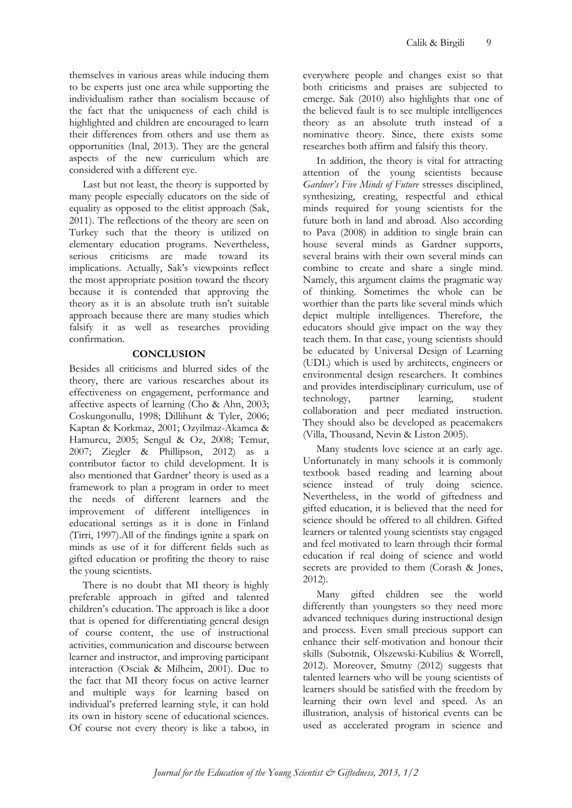themselves in various areas while inducing them to be experts just one area while supporting the individualism rather than socialism because of the fact that the uniqueness of each child is highlighted and children are encouraged to learn their differences from others and use them as opportunities (Inal, 2013). They are the general aspects of the new curriculum which are considered with a different eye.

Last but not least, the theory is supported by many people especially educators on the side of equality as opposed to the elitist approach (Sak, 2011). The reflections of the theory are seen on Turkey such that the theory is utilized on elementary education programs. Nevertheless, serious criticisms are made toward its implications. Actually, Sak's viewpoints reflect the most appropriate position toward the theory because it is contended that approving the theory as it is an absolute truth isn't suitable approach because there are many studies which falsify it as well as researches providing confirmation.

#### **CONCLUSION**

Besides all criticisms and blurred sides of the theory, there are various researches about its effectiveness on engagement, performance and affective aspects of learning (Cho & Ahn, 2003; Coskungonullu, 1998; Dillihunt & Tyler, 2006; Kaptan & Korkmaz, 2001; Ozyilmaz-Akamca & Hamurcu, 2005; Sengul & Oz, 2008; Temur, 2007; Ziegler & Phillipson, 2012) as a contributor factor to child development. It is also mentioned that Gardner' theory is used as a framework to plan a program in order to meet the needs of different learners and the improvement of different intelligences in educational settings as it is done in Finland (Tirri, 1997).All of the findings ignite a spark on minds as use of it for different fields such as gifted education or profiting the theory to raise the young scientists.

There is no doubt that MI theory is highly preferable approach in gifted and talented children's education. The approach is like a door that is opened for differentiating general design of course content, the use of instructional activities, communication and discourse between learner and instructor, and improving participant interaction (Osciak & Milheim, 2001). Due to the fact that MI theory focus on active learner and multiple ways for learning based on individual's preferred learning style, it can hold its own in history scene of educational sciences. Of course not every theory is like a taboo, in everywhere people and changes exist so that both criticisms and praises are subjected to emerge. Sak (2010) also highlights that one of the believed fault is to see multiple intelligences theory as an absolute truth instead of a nominative theory. Since, there exists some researches both affirm and falsify this theory.

In addition, the theory is vital for attracting attention of the young scientists because *Gardner's Five Minds of Future* stresses disciplined, synthesizing, creating, respectful and ethical minds required for young scientists for the future both in land and abroad. Also according to Pava (2008) in addition to single brain can house several minds as Gardner supports, several brains with their own several minds can combine to create and share a single mind. Namely, this argument claims the pragmatic way of thinking. Sometimes the whole can be worthier than the parts like several minds which depict multiple intelligences. Therefore, the educators should give impact on the way they teach them. In that case, young scientists should be educated by Universal Design of Learning (UDL) which is used by architects, engineers or environmental design researchers. It combines and provides interdisciplinary curriculum, use of technology, partner learning, student collaboration and peer mediated instruction. They should also be developed as peacemakers (Villa, Thousand, Nevin & Liston 2005).

Many students love science at an early age. Unfortunately in many schools it is commonly textbook based reading and learning about science instead of truly doing science. Nevertheless, in the world of giftedness and gifted education, it is believed that the need for science should be offered to all children. Gifted learners or talented young scientists stay engaged and feel motivated to learn through their formal education if real doing of science and world secrets are provided to them (Corash & Jones, 2012).

Many gifted children see the world differently than youngsters so they need more advanced techniques during instructional design and process. Even small precious support can enhance their self-motivation and honour their skills (Subotnik, Olszewski-Kubilius & Worrell, 2012). Moreover, Smutny (2012) suggests that talented learners who will be young scientists of learners should be satisfied with the freedom by learning their own level and speed. As an illustration, analysis of historical events can be used as accelerated program in science and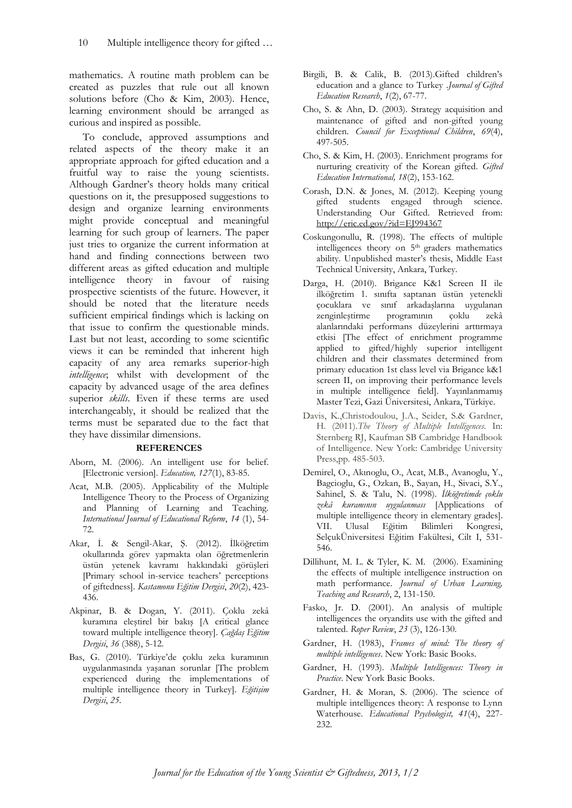mathematics. A routine math problem can be created as puzzles that rule out all known solutions before (Cho & Kim, 2003). Hence, learning environment should be arranged as curious and inspired as possible.

To conclude, approved assumptions and related aspects of the theory make it an appropriate approach for gifted education and a fruitful way to raise the young scientists. Although Gardner's theory holds many critical questions on it, the presupposed suggestions to design and organize learning environments might provide conceptual and meaningful learning for such group of learners. The paper just tries to organize the current information at hand and finding connections between two different areas as gifted education and multiple intelligence theory in favour of raising prospective scientists of the future. However, it should be noted that the literature needs sufficient empirical findings which is lacking on that issue to confirm the questionable minds. Last but not least, according to some scientific views it can be reminded that inherent high capacity of any area remarks superior-high *intelligence*; whilst with development of the capacity by advanced usage of the area defines superior *skills*. Even if these terms are used interchangeably, it should be realized that the terms must be separated due to the fact that they have dissimilar dimensions.

#### **REFERENCES**

- Aborn, M. (2006). An intelligent use for belief. [Electronic version]. *Education, 127*(1), 83-85.
- Acat, M.B. (2005). Applicability of the Multiple Intelligence Theory to the Process of Organizing and Planning of Learning and Teaching. *International Journal of Educational Reform*, *14* (1), 54- 72.
- Akar, İ. & Sengil-Akar, Ş. (2012). İlköğretim okullarında görev yapmakta olan öğretmenlerin üstün yetenek kavramı hakkındaki görüşleri [Primary school in-service teachers' perceptions of giftedness]. *Kastamonu Eğitim Dergisi*, *20*(2), 423- 436.
- Akpinar, B. & Dogan, Y. (2011). Çoklu zekâ kuramına eleştirel bir bakış [A critical glance toward multiple intelligence theory]. *Çağdaş Eğitim Dergisi*, *36* (388), 5-12.
- Bas, G. (2010). Türkiye'de çoklu zeka kuramının uygulanmasında yaşanan sorunlar [The problem experienced during the implementations of multiple intelligence theory in Turkey]. *Eğitişim Dergisi*, *25*.
- Birgili, B. & Calik, B. (2013).Gifted children's education and a glance to Turkey .*Journal of Gifted Education Research*, *1*(2), 67-77.
- Cho, S. & Ahn, D. (2003). Strategy acquisition and maintenance of gifted and non-gifted young children. *Council for Exceptional Children*, *69*(4), 497-505.
- Cho, S. & Kim, H. (2003). Enrichment programs for nurturing creativity of the Korean gifted. *Gifted Education International, 18*(2), 153-162.
- Corash, D.N. & Jones, M. (2012). Keeping young gifted students engaged through science. Understanding Our Gifted. Retrieved from: <http://eric.ed.gov/?id=EJ994367>
- Coskungonullu, R. (1998). The effects of multiple intelligences theory on 5<sup>th</sup> graders mathematics ability. Unpublished master's thesis, Middle East Technical University, Ankara, Turkey.
- Darga, H. (2010). Brigance K&1 Screen II ile ilköğretim 1. sınıfta saptanan üstün yetenekli çocuklara ve sınıf arkadaşlarına uygulanan zenginleştirme programının çoklu zekâ alanlarındaki performans düzeylerini arttırmaya etkisi [The effect of enrichment programme applied to gifted/highly superior intelligent children and their classmates determined from primary education 1st class level via Brigance k&1 screen II, on improving their performance levels in multiple intelligence field]. Yayınlanmamış Master Tezi, Gazi Üniversitesi, Ankara, Türkiye.
- Davis, K.,Christodoulou, J.A., Seider, S.& Gardner, H. (2011).*The Theory of Multiple Intelligences*. In: Sternberg RJ, Kaufman SB Cambridge Handbook of Intelligence. New York: Cambridge University Press,pp. 485-503.
- Demirel, O., Akınoglu, O., Acat, M.B., Avanoglu, Y., Bagcioglu, G., Ozkan, B., Sayan, H., Sivaci, S.Y., Sahinel, S. & Talu, N. (1998). *İlköğretimde çoklu zekâ kuramının uygulanması* [Applications of multiple intelligence theory in elementary grades]. VII. Ulusal Eğitim Bilimleri Kongresi, SelçukÜniversitesi Eğitim Fakültesi, Cilt I, 531- 546.
- Dillihunt, M. L. & Tyler, K. M. (2006). Examining the effects of multiple intelligence instruction on math performance. *Journal of Urban Learning, Teaching and Research*, 2, 131-150.
- Fasko, Jr. D. (2001). An analysis of multiple intelligences the oryandits use with the gifted and talented. *Roper Review*, *23* (3), 126-130.
- Gardner, H. (1983), *Frames of mind: The theory of multiple intelligences*. New York: Basic Books.
- Gardner, H. (1993). *Multiple Intelligences: Theory in Practice*. New York Basic Books.
- Gardner, H. & Moran, S. (2006). The science of multiple intelligences theory: A response to Lynn Waterhouse. *Educational Psychologist, 41*(4), 227- 232.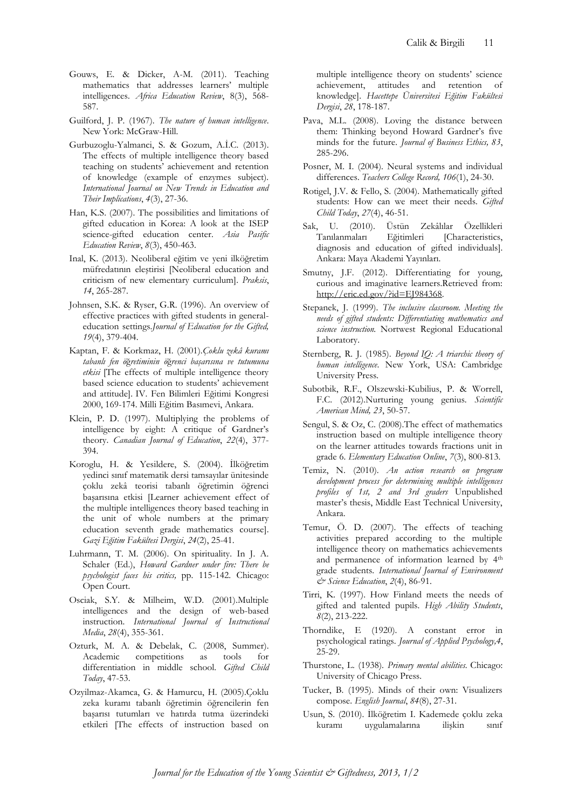- Gouws, E. & Dicker, A-M. (2011). Teaching mathematics that addresses learners' multiple intelligences. *Africa Education Review*, 8(3), 568- 587.
- Guilford, J. P. (1967). *The nature of human intelligence*. New York: McGraw-Hill.
- Gurbuzoglu-Yalmanci, S. & Gozum, A.İ.C. (2013). The effects of multiple intelligence theory based teaching on students' achievement and retention of knowledge (example of enzymes subject). *International Journal on New Trends in Education and Their Implications*, *4*(3), 27-36.
- Han, K.S. (2007). The possibilities and limitations of gifted education in Korea: A look at the ISEP science-gifted education center. *Asia Pasific Education Review*, *8*(3), 450-463.
- Inal, K. (2013). Neoliberal eğitim ve yeni ilköğretim müfredatının eleştirisi [Neoliberal education and criticism of new elementary curriculum]. *Praksis*, *14*, 265-287.
- Johnsen, S.K. & Ryser, G.R. (1996). An overview of effective practices with gifted students in generaleducation settings.*Journal of Education for the Gifted, 19*(4), 379-404.
- Kaptan, F. & Korkmaz, H. (2001).*Çoklu zekâ kuramı tabanlı fen ö*ğ*retiminin ö*ğ*renci başarısına ve tutumuna etkisi* [The effects of multiple intelligence theory based science education to students' achievement and attitude]. IV. Fen Bilimleri Eğitimi Kongresi 2000, 169-174. Milli Eğitim Basımevi, Ankara.
- Klein, P. D. (1997). Multiplying the problems of intelligence by eight: A critique of Gardner's theory. *Canadian Journal of Education*, *22*(4), 377- 394.
- Koroglu, H. & Yesildere, S. (2004). İlköğretim yedinci sınıf matematik dersi tamsayılar ünitesinde çoklu zekâ teorisi tabanlı öğretimin öğrenci başarısına etkisi [Learner achievement effect of the multiple intelligences theory based teaching in the unit of whole numbers at the primary education seventh grade mathematics course]. *Gazi Eğitim Fakültesi Dergisi*, *24*(2), 25-41.
- Luhrmann, T. M. (2006). On spirituality. In J. A. Schaler (Ed.), *Howard Gardner under fire: There be psychologist faces his critics,* pp. 115-142. Chicago: Open Court.
- Osciak, S.Y. & Milheim, W.D. (2001).Multiple intelligences and the design of web-based instruction. *International Journal of Instructional Media*, *28*(4), 355-361.
- Ozturk, M. A. & Debelak, C. (2008, Summer). Academic competitions as tools for differentiation in middle school. *Gifted Child Today*, 47-53.
- Ozyilmaz-Akamca, G. & Hamurcu, H. (2005).Çoklu zeka kuramı tabanlı öğretimin öğrencilerin fen başarısı tutumları ve hatırda tutma üzerindeki etkileri [The effects of instruction based on

multiple intelligence theory on students' science achievement, attitudes and retention of knowledge]. *Hacettepe Üniversitesi Eğitim Fakültesi Dergisi*, *28*, 178-187.

- Pava, M.L. (2008). Loving the distance between them: Thinking beyond Howard Gardner's five minds for the future. *Journal of Business Ethics, 83*, 285-296.
- Posner, M. I. (2004). Neural systems and individual differences. *Teachers College Record, 106*(1), 24-30.
- Rotigel, J.V. & Fello, S. (2004). Mathematically gifted students: How can we meet their needs. *Gifted Child Today*, *27*(4), 46-51.
- Sak, U. (2010). Üstün Zekâlılar Özellikleri Tanılanmaları Eğitimleri [Characteristics, diagnosis and education of gifted individuals]. Ankara: Maya Akademi Yayınları.
- Smutny, J.F. (2012). Differentiating for young, curious and imaginative learners.Retrieved from: [http://eric.ed.gov/?id=EJ984368.](http://eric.ed.gov/?id=EJ984368)
- Stepanek, J. (1999). *The inclusive classroom. Meeting the needs of gifted students: Differentiating mathematics and science instruction.* Nortwest Regional Educational Laboratory.
- Sternberg, R. J. (1985). *Beyond IQ: A triarchic theory of human intelligence*. New York, USA: Cambridge University Press.
- Subotbik, R.F., Olszewski-Kubilius, P. & Worrell, F.C. (2012).Nurturing young genius. *Scientific American Mind, 23*, 50-57.
- Sengul, S. & Oz, C. (2008).The effect of mathematics instruction based on multiple intelligence theory on the learner attitudes towards fractions unit in grade 6. *Elementary Education Online*, *7*(3), 800-813.
- Temiz, N. (2010). *An action research on program development process for determining multiple intelligences profiles of 1st, 2 and 3rd graders* Unpublished master's thesis, Middle East Technical University, Ankara.
- Temur, Ö. D. (2007). The effects of teaching activities prepared according to the multiple intelligence theory on mathematics achievements and permanence of information learned by 4<sup>th</sup> grade students. *International Journal of Environment & Science Education*, *2*(4), 86-91.
- Tirri, K. (1997). How Finland meets the needs of gifted and talented pupils. *High Ability Students*, *8*(2), 213-222.
- Thorndike, E (1920). A constant error in psychological ratings. *Journal of Applied Psychology,4*, 25-29.
- Thurstone, L. (1938). *Primary mental abilities.* Chicago: University of Chicago Press.
- Tucker, B. (1995). Minds of their own: Visualizers compose. *English Journal*, *84*(8), 27-31.
- Usun, S. (2010). İlköğretim I. Kademede çoklu zeka kuramı uygulamalarına ilişkin sınıf